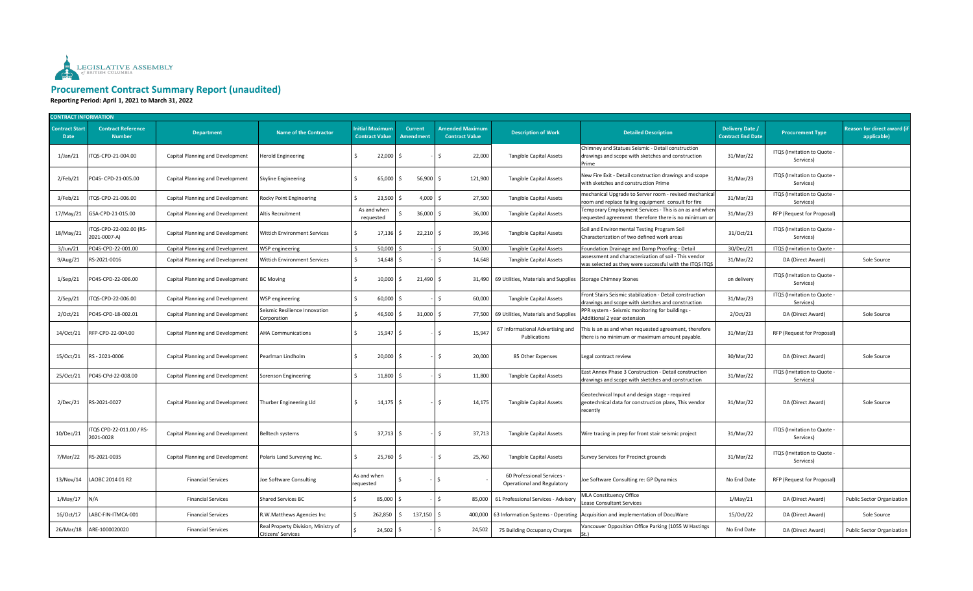

## **Procurement Contract Summary Report (unaudited)**

**Reporting Period: April 1, 2021 to March 31, 2022**

| <b>CONTRACT INFORMATION</b>          |                                            |                                  |                                                           |                          |                                         |                                    |                                                 |                                                          |                                                                                                                     |                                             |                                          |                                            |
|--------------------------------------|--------------------------------------------|----------------------------------|-----------------------------------------------------------|--------------------------|-----------------------------------------|------------------------------------|-------------------------------------------------|----------------------------------------------------------|---------------------------------------------------------------------------------------------------------------------|---------------------------------------------|------------------------------------------|--------------------------------------------|
| <b>Contract Start</b><br><b>Date</b> | <b>Contract Reference</b><br><b>Number</b> | <b>Department</b>                | <b>Name of the Contractor</b>                             |                          | nitial Maximum<br><b>Contract Value</b> | <b>Current</b><br><b>Amendment</b> | <b>Amended Maximum</b><br><b>Contract Value</b> | <b>Description of Work</b>                               | <b>Detailed Description</b>                                                                                         | Delivery Date /<br><b>Contract End Date</b> | <b>Procurement Type</b>                  | Reason for direct award (if<br>applicable) |
| $1/$ Jan $/21$                       | TQS-CPD-21-004.00                          | Capital Planning and Development | Herold Engineering                                        | Ś.                       | 22,000                                  | S.                                 | 22,000<br>S.                                    | <b>Tangible Capital Assets</b>                           | Chimney and Statues Seismic - Detail construction<br>drawings and scope with sketches and construction<br>Prime     | 31/Mar/22                                   | ITQS (Invitation to Quote -<br>Services) |                                            |
| 2/Feb/21                             | PO4S- CPD-21-005.00                        | Capital Planning and Development | Skyline Engineering                                       | Ś.                       | 65,000                                  | 56,900<br>Ŝ.                       | Ŝ.<br>121,900                                   | <b>Tangible Capital Assets</b>                           | New Fire Exit - Detail construction drawings and scope<br>with sketches and construction Prime                      | 31/Mar/23                                   | ITQS (Invitation to Quote<br>Services)   |                                            |
| 3/Feb/21                             | TQS-CPD-21-006.00                          | Capital Planning and Development | Rocky Point Engineering                                   | Ŝ.                       | 23,500                                  | 4,000<br>-S                        | -Ś<br>27,500                                    | <b>Tangible Capital Assets</b>                           | mechanical Upgrade to Server room - revised mechanical<br>room and replace failing equipment consult for fire       | 31/Mar/23                                   | ITQS (Invitation to Quote -<br>Services) |                                            |
| 17/May/21                            | GSA-CPD-21-015.00                          | Capital Planning and Development | Altis Recruitment                                         |                          | As and when<br>requested                | 36,000                             | $\frac{1}{2}$<br>36,000                         | <b>Tangible Capital Assets</b>                           | Temporary Employment Services - This is an as and wher<br>requested agreement therefore there is no minimum or      | 31/Mar/23                                   | RFP (Request for Proposal)               |                                            |
| 18/May/21                            | TQS-CPD-22-002.00 (RS-<br>2021-0007-A)     | Capital Planning and Development | Wittich Environment Services                              | Š.                       | 17,136                                  | $22,210$ \$<br>Ŝ.                  | 39,346                                          | <b>Tangible Capital Assets</b>                           | Soil and Environmental Testing Program Soil<br>Characterization of two defined work areas                           | 31/Oct/21                                   | ITQS (Invitation to Quote<br>Services)   |                                            |
| $3/$ Jun $/21$                       | PO4S-CPD-22-001.00                         | Capital Planning and Development | <b>NSP</b> engineering                                    |                          | 50,000                                  |                                    | 50,000                                          | <b>Tangible Capital Assets</b>                           | Foundation Drainage and Damp Proofing - Detail                                                                      | 30/Dec/21                                   | ITQS (Invitation to Quote                |                                            |
| 9/Aug/21                             | RS-2021-0016                               | Capital Planning and Development | Wittich Environment Services                              | Ś                        | 14,648                                  |                                    | Ś.<br>14,648                                    | Tangible Capital Assets                                  | assessment and characterization of soil - This vendor<br>was selected as they were successful with the ITQS ITQS    | 31/Mar/22                                   | DA (Direct Award)                        | Sole Source                                |
| 1/Sep/21                             | PO4S-CPD-22-006.00                         | Capital Planning and Development | <b>BC Moving</b>                                          | \$                       | 10,000                                  | 21,490<br>-S                       | $\mathsf{S}$                                    | 31,490 69 Utilities, Materials and Supplies              | <b>Storage Chimney Stones</b>                                                                                       | on delivery                                 | ITQS (Invitation to Quote<br>Services)   |                                            |
| 2/Sep/21                             | TQS-CPD-22-006.00                          | Capital Planning and Development | WSP engineering                                           |                          | 60,000                                  | S.                                 | Ŝ.<br>60,000                                    | <b>Tangible Capital Assets</b>                           | Front Stairs Seismic stabilization - Detail construction<br>drawings and scope with sketches and construction       | 31/Mar/23                                   | ITQS (Invitation to Quote -<br>Services) |                                            |
| 2/Oct/21                             | PO4S-CPD-18-002.01                         | Capital Planning and Development | Seismic Resilience Innovation<br>Corporation              | \$                       | 46,500                                  | 31,000                             | \$<br>77,500                                    | 69 Utilities, Materials and Supplies                     | PPR system - Seismic monitoring for buildings -<br>Additional 2 year extension                                      | 2/Oct/23                                    | DA (Direct Award)                        | Sole Source                                |
| 14/Oct/21                            | RFP-CPD-22-004.00                          | Capital Planning and Development | <b>AHA Communications</b>                                 | Ŝ.                       | 15,947                                  | -S                                 | Ŝ.<br>15,947                                    | 67 Informational Advertising and<br>Publications         | This is an as and when requested agreement, therefore<br>there is no minimum or maximum amount payable.             | 31/Mar/23                                   | RFP (Request for Proposal)               |                                            |
| 15/Oct/21                            | RS-2021-0006                               | Capital Planning and Development | Pearlman Lindholm                                         | Ś.                       | $20,000$ \$                             |                                    | 20,000<br>Ŝ.                                    | 85 Other Expenses                                        | Legal contract review                                                                                               | 30/Mar/22                                   | DA (Direct Award)                        | Sole Source                                |
| 25/Oct/21                            | PO4S-CPd-22-008.00                         | Capital Planning and Development | Sorenson Engineering                                      | Ŝ.                       | 11,800                                  |                                    | Ŝ.<br>11,800                                    | <b>Tangible Capital Assets</b>                           | East Annex Phase 3 Construction - Detail construction<br>drawings and scope with sketches and construction          | 31/Mar/22                                   | ITQS (Invitation to Quote<br>Services)   |                                            |
| 2/Dec/21                             | RS-2021-0027                               | Capital Planning and Development | Thurber Engineering Lld                                   | S.                       | $14,175$ \$                             |                                    | 14,175<br>-S                                    | <b>Tangible Capital Assets</b>                           | Geotechnical Input and design stage - required<br>geotechnical data for construction plans, This vendor<br>recently | 31/Mar/22                                   | DA (Direct Award)                        | Sole Source                                |
| 10/Dec/21                            | TQS CPD-22-011.00 / RS-<br>2021-0028       | Capital Planning and Development | <b>Belltech systems</b>                                   | Ŝ.                       | 37,713 \$                               |                                    | S.<br>37,713                                    | <b>Tangible Capital Assets</b>                           | Wire tracing in prep for front stair seismic project                                                                | 31/Mar/22                                   | ITQS (Invitation to Quote<br>Services)   |                                            |
| 7/Mar/22                             | RS-2021-0035                               | Capital Planning and Development | Polaris Land Surveying Inc.                               | Š.                       | 25,760 \$                               |                                    | S.<br>25,760                                    | <b>Tangible Capital Assets</b>                           | Survey Services for Precinct grounds                                                                                | 31/Mar/22                                   | ITQS (Invitation to Quote<br>Services)   |                                            |
| 13/Nov/14                            | LAOBC 2014 01 R2                           | <b>Financial Services</b>        | Ioe Software Consulting                                   | As and when<br>requested |                                         |                                    | Ŝ.                                              | 60 Professional Services -<br>Operational and Regulatory | Joe Software Consulting re: GP Dynamics                                                                             | No End Date                                 | RFP (Request for Proposal)               |                                            |
| 1/May/17                             | N/A                                        | <b>Financial Services</b>        | Shared Services BC                                        |                          | 85,000                                  |                                    | $\mathsf{S}$<br>85,000                          | 61 Professional Services - Advisory                      | MLA Constituency Office<br>Lease Consultant Services                                                                | 1/May/21                                    | DA (Direct Award)                        | Public Sector Organization                 |
| 16/Oct/17                            | LABC-FIN-ITMCA-001                         | <b>Financial Services</b>        | R.W.Matthews Agencies Inc                                 | Ś                        | 262,850                                 | 137,150<br>Ś.                      | $\ddot{\mathsf{s}}$<br>400,000                  | 63 Information Systems - Operating                       | Acquisition and implementation of DocuWare                                                                          | 15/Oct/22                                   | DA (Direct Award)                        | Sole Source                                |
| 26/Mar/18                            | ARE-1000020020                             | <b>Financial Services</b>        | Real Property Division, Ministry of<br>Citizens' Services |                          | 24,502                                  |                                    | S.<br>24,502                                    | 75 Building Occupancy Charges                            | Vancouver Opposition Office Parking (1055 W Hastings                                                                | No End Date                                 | DA (Direct Award)                        | Public Sector Organization                 |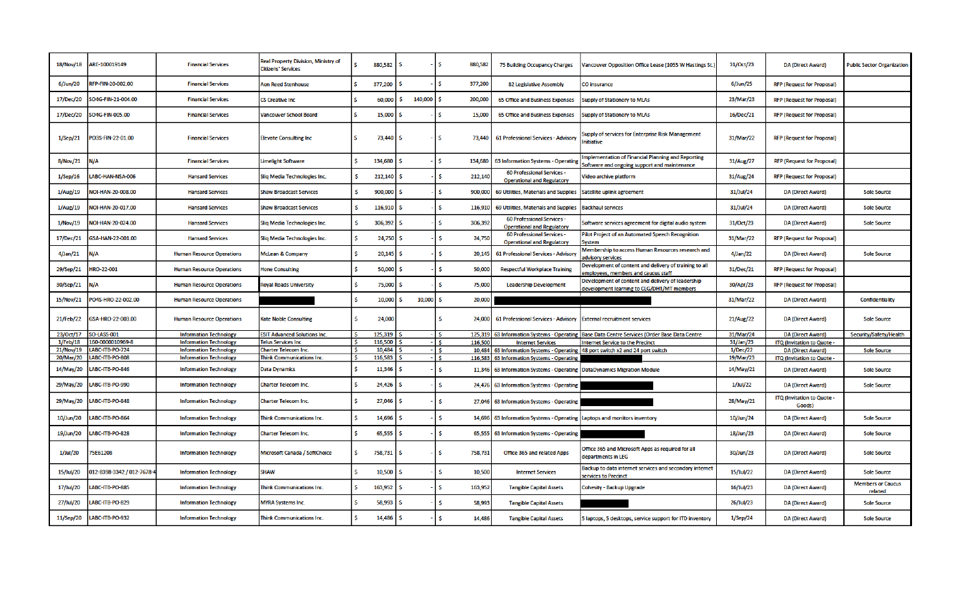| 18/Nov/18                | ARE-100019149                       | <b>Financial Services</b>                                      | <b>Real Property Division, Ministry of</b><br><b>Citizens' Services</b> | S.       | 880,582           | <b>S</b> |         | S.<br>880,582           | 75 Building Occupancy Charges                                            | Vancouver Opposition Office Lease (1055 W Hastings St.)                                            | 31/Oct/23             | DA (Direct Award)                                      | <b>Public Sector Organization</b>   |
|--------------------------|-------------------------------------|----------------------------------------------------------------|-------------------------------------------------------------------------|----------|-------------------|----------|---------|-------------------------|--------------------------------------------------------------------------|----------------------------------------------------------------------------------------------------|-----------------------|--------------------------------------------------------|-------------------------------------|
| 6/Jun/20                 | RFP-FIN-20-002.00                   | <b>Financial Services</b>                                      | Aon Reed Stenhouse                                                      | l S      | 377,200           |          |         | s<br>377,200            | 82 Legislative Assembly                                                  | CO insurance                                                                                       | 6/Jun/25              | <b>RFP (Request for Proposal)</b>                      |                                     |
| 17/Dec/20                | SO4G-FIN-21-004.00                  | <b>Financial Services</b>                                      | CS Creative Inc                                                         | ß.       | 60,000            | -S       | 140,000 | -S<br>200,000           | 65 Office and Business Expenses                                          | <b>Supply of Stationery to MLAs</b>                                                                | 23/Mar/23             | <b>RFP (Request for Proposal)</b>                      |                                     |
| 17/Dec/20                | SO4G-FIN-005.00                     | <b>Financial Services</b>                                      | Vancouver School Board                                                  | ۱Ś       | 15,000            |          |         | S.<br>15,000            | 65 Office and Business Expenses                                          | Supply of Stationery to MLAs                                                                       | 16/Dec/21             | <b>RFP (Request for Proposal)</b>                      |                                     |
| $1/$ Sep $/21$           | PO3S-FIN-22-01.00                   | <b>Financial Services</b>                                      | <b>Elevate Consulting Inc.</b>                                          | <b>S</b> | 73,440 \$         |          |         | <b>S</b><br>73,440      | 61 Professional Services - Advisory                                      | Supply of services for Enterprise Risk Management<br><b>Initiative</b>                             | 31/Mar/22             | <b>RFP (Request for Proposal)</b>                      |                                     |
| 8/Nov/21                 | N/A                                 | <b>Financial Services</b>                                      | <b>Limelight Software</b>                                               | s.       | 134,680           |          |         | S.<br>134,680           | 63 Information Systems - Operating                                       | Implementation of Financial Planning and Reporting<br>Software and ongoing support and maintenance | 31/Aug/27             | <b>RFP (Request for Proposal)</b>                      |                                     |
| 1/Sep/16                 | ABC-HAN-NSA-006                     | <b>Hansard Services</b>                                        | Sliq Media Technologies Inc.                                            |          | 212,140           |          |         | <b>S</b><br>212,140     | 60 Professional Services -<br><b>Operational and Regulatory</b>          | Video archive platform                                                                             | 31/Aug/24             | <b>RFP (Request for Proposal)</b>                      |                                     |
| 1/Aug/19                 | NOI-HAN-20-008.00                   | <b>Hansard Services</b>                                        | <b>Shaw Broadcast Services</b>                                          | S.       | 900,000           | s        |         | s<br>900,000            | 69 Utilities, Materials and Supplies                                     | Satellite uplink agreement                                                                         | 31/Jul/24             | <b>DA (Direct Award)</b>                               | <b>Sole Source</b>                  |
| 1/Aug/19                 | NOI-HAN-20-017.00                   | <b>Hansard Services</b>                                        | <b>Shaw Broadcast Services</b>                                          | <b>S</b> | 116,910           | -S       |         | \$.<br>116,910          | 69 Utilities, Materials and Supplies                                     | <b>Backhaul services</b>                                                                           | 31/Jul/24             | <b>DA (Direct Award)</b>                               | <b>Sole Source</b>                  |
| 1/Nov/19                 | NOI-HAN-20-024.00                   | <b>Hansard Services</b>                                        | Slig Media Technologies Inc.                                            | -S       | 306,392           |          |         | <b>S</b><br>306,392     | 60 Professional Services -<br><b>Operational and Regulatory</b>          | Software services agreement for digital audio system                                               | 31/Oct/23             | <b>DA (Direct Award)</b>                               | <b>Sole Source</b>                  |
| 17/Dec/21                | GSA-HAN-22-001.00                   | <b>Hansard Services</b>                                        | Slig Media Technologies Inc.                                            |          | 24,750 \$         |          |         | S.<br>24,750            | <b>60 Professional Services -</b><br><b>Operational and Regulatory</b>   | Pilot Project of an Automated Speech Recognition<br>Svstem                                         | 31/Mar/22             | <b>RFP (Request for Proposal)</b>                      |                                     |
| 4/Jan/21                 | N/A                                 | <b>Human Resource Operations</b>                               | <b>McLean &amp; Company</b>                                             | S        | $20,145$ \$       |          |         | .s<br>20,145            | 61 Professional Services - Advisory                                      | Membership to access Human Resources research and<br>advisory services                             | 4/Jan/22              | DA (Direct Award)                                      | <b>Sole Source</b>                  |
| 29/Sep/21                | HRO-22-001                          | <b>Human Resource Operations</b>                               | <b>Hone Consulting</b>                                                  | s.       | 50,000            | -S       |         | <b>S</b><br>50,000      | <b>Respectful Workplace Training</b>                                     | Development of content and delivery of training to all<br>employees, members and caucus staff      | 31/Dec/21             | <b>RFP (Request for Proposal)</b>                      |                                     |
| 30/Sep/21                | N/A                                 | <b>Human Resource Operations</b>                               | <b>Royal Roads University</b>                                           | s        | 75,000            | -S       |         | .s<br>75,000            | <b>Leadership Development</b>                                            | Development of content and delivery of leadership<br>development learning to CLG/DHT/MT members    | 30/Apr/23             | <b>RFP (Request for Proposal)</b>                      |                                     |
| 15/Nov/21                | PO4S-HRO-22-002.00                  | <b>Human Resource Operations</b>                               |                                                                         | s        | 10,000            | -S       | 10,000  | <b>S</b><br>20,000      |                                                                          |                                                                                                    | 31/Mar/22             | <b>DA (Direct Award)</b>                               | Confidentiality                     |
| 21/Feb/22                | GSA-HRO-22-003.00                   | <b>Human Resource Operations</b>                               | <b>Kate Noble Consulting</b>                                            | S.       | 24,000            |          |         | S.<br>24,000            | 61 Professional Services - Advisory                                      | <b>External recruitment services</b>                                                               | 21/Aug/22             | DA (Direct Award)                                      | <b>Sole Source</b>                  |
| 23/Oct/17                | <b>SO-LASS-001</b>                  | <b>Information Technology</b>                                  | <b>ESIT Advanced Solutions Inc.</b>                                     |          | 125,319           |          |         | 125,319<br>s.           |                                                                          | 63 Information Systems - Operating   Base Data Centre Services (Order Base Data Centre             | 31/Mar/24             | <b>DA (Direct Award)</b>                               | Security/Safety/Health              |
| $1$ /Feb/18<br>21/Nov/19 | 160-0000010969-8<br>LABC-ITB-PO-724 | <b>Information Technology</b><br><b>Information Technology</b> | <b>Telus Services Inc</b><br><b>Charter Telecom Inc.</b>                |          | 116,500<br>10,484 |          |         | 116,500<br>-S           | <b>Internet Services</b>                                                 | Internet Service to the Precinct                                                                   | 31/Jan/23<br>1/Dec/22 | ITQ (Invitation to Quote -                             |                                     |
| 20/Mar/20                | LABC-ITB-PO-808                     | <b>Information Technology</b>                                  | <b>Think Communications Inc.</b>                                        |          | 116,583           |          |         | 10,484<br>Š.<br>116,583 | 63 Information Systems - Operating                                       | 63 Information Systems - Operating   48 port switch x2 and 24 port switch                          | 19/Mar/23             | <b>DA (Direct Award)</b><br>ITQ (Invitation to Quote - | <b>Sole Source</b>                  |
| 14/May/20                | LABC-ITB-PO-846                     | <b>Information Technology</b>                                  | <b>Data Dynamics</b>                                                    |          | 11,346            |          |         | .s<br>11,346            | 63 Information Systems - Operating   DataDynamics Migration Module       |                                                                                                    | 14/May/21             | <b>DA (Direct Award)</b>                               | <b>Sole Source</b>                  |
| 29/May/20                | LABC-ITB-PO-990                     | <b>Information Technology</b>                                  | <b>Charter Telecom Inc.</b>                                             | ß.       | 24,426            |          |         | \$                      | 24,476 63 Information Systems - Operating                                |                                                                                                    | $1$ /Jul/22           | DA (Direct Award)                                      | <b>Sole Source</b>                  |
| 29/May/20                | LABC-ITB-PO-848                     | <b>Information Technology</b>                                  | <b>Charter Telecom Inc.</b>                                             | <b>S</b> | 27,046            | -S       |         | Š.                      | 27,046 63 Information Systems - Operating                                |                                                                                                    | 28/May/21             | ITQ (Invitation to Quote -<br>Goods)                   |                                     |
| 10/Jun/20                | LABC-ITB-PO-864                     | <b>Information Technology</b>                                  | <b>Think Communications Inc.</b>                                        | -S       | 14,696            |          |         | Š.                      | 14,696 63 Information Systems - Operating Laptops and monitors inventory |                                                                                                    | 10/Jun/24             | <b>DA (Direct Award)</b>                               | <b>Sole Source</b>                  |
| 19/Jun/20                | ABC-ITB-PO-828                      | <b>Information Technology</b>                                  | <b>Charter Telecom Inc.</b>                                             | s        | 65,555            |          |         | Š.<br>65,555            | 63 Information Systems - Operating                                       |                                                                                                    | 18/Jun/23             | DA (Direct Award)                                      | <b>Sole Source</b>                  |
| 1/Jul/20                 | 75E61208                            | <b>Information Technology</b>                                  | Microsoft Canada / SoftChoice                                           | <b>S</b> | 758,731 \$        |          |         | <b>S</b><br>758,731     | Office 365 and related Apps                                              | Office 365 and Microsoft Apps as required for all<br>departments in LEG                            | 30/Jun/23             | <b>DA (Direct Award)</b>                               | <b>Sole Source</b>                  |
| 15/Jul/20                | 012-8398-3342 / 012-7678-4          | <b>Information Technology</b>                                  | Shaw                                                                    | s.       | 10,500            | -S       |         | <b>S</b><br>10,500      | <b>Internet Services</b>                                                 | Backup to data internet services and secondary internet<br>services to Precinct                    | 15/Jul/22             | DA (Direct Award)                                      | <b>Sole Source</b>                  |
| 17/Jul/20                | LABC-ITB-PO-885                     | <b>Information Technology</b>                                  | <b>Think Communications Inc.</b>                                        | s        | 163,952           |          |         | Š.<br>163,952           | <b>Tangible Capital Assets</b>                                           | <b>Cohesity - Backup Upgrade</b>                                                                   | 16/Jul/23             | <b>DA (Direct Award)</b>                               | <b>Members or Caucus</b><br>related |
| 27/Jul/20                | LABC-ITB-PO-829                     | <b>Information Technology</b>                                  | <b>MYRA Systems Inc.</b>                                                | <b>S</b> | 58,993            |          |         | Š.<br>58,993            | <b>Tangible Capital Assets</b>                                           |                                                                                                    | 26/Jul/23             | <b>DA (Direct Award)</b>                               | <b>Sole Source</b>                  |
| 11/Sep/20                | LABC-ITB-PO-932                     | <b>Information Technology</b>                                  | <b>Think Communications Inc.</b>                                        |          | 14,486            |          |         | <b>S</b><br>14,486      | <b>Tangible Capital Assets</b>                                           | 5 laptops, 5 desktops, service support for ITD inventory                                           | $1/$ Sep $/24$        | <b>DA (Direct Award)</b>                               | <b>Sole Source</b>                  |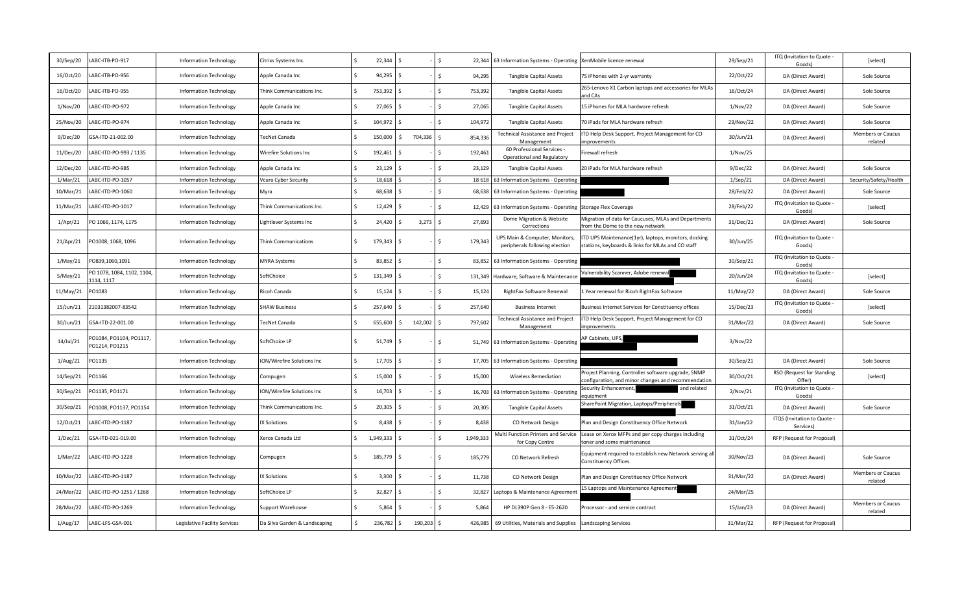| 30/Sep/20 | ABC-ITB-PO-917                            | <b>Information Technology</b> | Citrixs Systems Inc.          |      | 22,344    |                      |         | Ŝ.            | 22,344    | 63 Information Systems - Operating                               | XenMobile licence renewal                                                                                 | 29/Sep/21      | ITQ (Invitation to Quote -<br>Goods)   | [select]                            |
|-----------|-------------------------------------------|-------------------------------|-------------------------------|------|-----------|----------------------|---------|---------------|-----------|------------------------------------------------------------------|-----------------------------------------------------------------------------------------------------------|----------------|----------------------------------------|-------------------------------------|
| 16/Oct/20 | ABC-ITB-PO-956                            | <b>Information Technology</b> | Apple Canada Inc              | l s  | 94,295    |                      |         | $\mathsf{S}$  | 94,295    | <b>Tangible Capital Assets</b>                                   | 75 iPhones with 2-yr warranty                                                                             | 22/Oct/22      | DA (Direct Award)                      | Sole Source                         |
| 16/Oct/20 | ABC-ITB-PO-955                            | <b>Information Technology</b> | Think Communications Inc.     | l \$ | 753,392   |                      |         | <sup>5</sup>  | 753,392   | <b>Tangible Capital Assets</b>                                   | 265-Lenovo X1 Carbon laptops and accessories for MLAs<br>ind CAs                                          | 16/Oct/24      | DA (Direct Award)                      | Sole Source                         |
| 1/Nov/20  | ABC-ITD-PO-972                            | <b>Information Technology</b> | Apple Canada Inc              | l s  | 27,065    |                      |         | Ŝ.            | 27,065    | <b>Tangible Capital Assets</b>                                   | 15 iPhones for MLA hardware refresh                                                                       | 1/Nov/22       | DA (Direct Award)                      | Sole Source                         |
| 25/Nov/20 | ABC-ITD-PO-974                            | <b>Information Technology</b> | Apple Canada Inc              | l s  | 104,972   |                      |         | Ś             | 104,972   | <b>Tangible Capital Assets</b>                                   | 70 iPads for MLA hardware refresh                                                                         | 23/Nov/22      | DA (Direct Award)                      | Sole Source                         |
| 9/Dec/20  | GSA-ITD-21-002.00                         | <b>Information Technology</b> | <b>TecNet Canada</b>          | l s  | 150,000   | Ś.                   | 704,336 | $\zeta$       | 854,336   | <b>Technical Assistance and Project</b><br>Management            | TD Help Desk Support, Project Management for CO<br>mprovements                                            | 30/Jun/21      | DA (Direct Award)                      | <b>Members or Caucus</b><br>related |
| 11/Dec/20 | ABC-ITD-PO-993 / 1135                     | <b>Information Technology</b> | Wirefire Solutions Inc        | l s  | 192,461   |                      |         | Š.            | 192,461   | 60 Professional Services<br>Operational and Regulatory           | irewall refresh                                                                                           | 1/Nov/25       |                                        |                                     |
| 12/Dec/20 | ABC-ITD-PO-985                            | <b>Information Technology</b> | Apple Canada Inc              | l s  | 23,129    | $\ddot{\phantom{1}}$ |         | $\mathsf{S}$  | 23,129    | <b>Tangible Capital Assets</b>                                   | 20 iPads for MLA hardware refresh                                                                         | 9/Dec/22       | DA (Direct Award)                      | Sole Source                         |
| 1/Mar/21  | LABC-ITD-PO-1057                          | <b>Information Technology</b> | Vcura Cyber Security          |      | 18,618    |                      |         | $\zeta$       | 18 618    | 63 Information Systems - Operating                               |                                                                                                           | $1/$ Sep $/21$ | DA (Direct Award)                      | Security/Safety/Health              |
| 10/Mar/21 | ABC-ITD-PO-1060                           | <b>Information Technology</b> | Myra                          |      | 68,638    |                      |         | $\zeta$       | 68,638    | 63 Information Systems - Operating                               |                                                                                                           | 28/Feb/22      | DA (Direct Award)                      | Sole Source                         |
| 11/Mar/21 | ABC-ITD-PO-1017                           | <b>Information Technology</b> | Think Communications Inc.     | l S  | 12,429    |                      |         | $\zeta$       |           | 12,429 63 Information Systems - Operating                        | <b>Storage Flex Coverage</b>                                                                              | 28/Feb/22      | ITQ (Invitation to Quote -<br>Goods)   | [select]                            |
| 1/Apr/21  | PO 1066, 1174, 1175                       | <b>Information Technology</b> | Lightlever Systems Inc        | l \$ | 24,420    |                      | 3,273   | Ŝ.            | 27,693    | Dome Migration & Website<br>Corrections                          | Migration of data for Caucuses, MLAs and Departments<br>rom the Dome to the new network                   | 31/Dec/21      | DA (Direct Award)                      | Sole Source                         |
| 21/Apr/21 | PO1008, 1068, 1096                        | <b>Information Technology</b> | <b>Think Communications</b>   | l \$ | 179,343   | Ŝ.                   |         | <sup>5</sup>  | 179,343   | UPS Main & Computer, Monitors,<br>peripherals following election | TD UPS Maintenance(1yr), laptops, monitors, docking<br>stations, keyboards & links for MLAs and CO staff  | 30/Jun/25      | ITQ (Invitation to Quote -<br>Goods)   |                                     |
| 1/May/21  | 0839,1060,1091                            | <b>Information Technology</b> | <b>MYRA Systems</b>           | l s  | 83,852    |                      |         | Ŝ.            |           | 83,852 63 Information Systems - Operating                        |                                                                                                           | 30/Sep/21      | ITQ (Invitation to Quote -<br>Goods)   |                                     |
| 5/May/21  | PO 1078, 1084, 1102, 1104,<br>114, 1117   | <b>Information Technology</b> | SoftChoice                    | l s  | 131,349   |                      |         | Ś.            |           | 131,349 Hardware, Software & Maintenance                         | Vulnerability Scanner, Adobe renewa                                                                       | 20/Jun/24      | ITQ (Invitation to Quote -<br>Goods)   | [select]                            |
| 11/May/21 | PO1083                                    | <b>Information Technology</b> | Ricoh Canada                  | l s  | 15,124    |                      |         | $\zeta$       | 15,124    | RightFax Software Renewal                                        | 1 Year renewal for Ricoh RightFax Software                                                                | 11/May/22      | DA (Direct Award)                      | Sole Source                         |
| 15/Jun/21 | 21031382007-83542                         | <b>Information Technology</b> | <b>SHAW Business</b>          | l s  | 257,640   |                      |         | Š.            | 257.640   | <b>Business Internet</b>                                         | Business Internet Services for Constituency offices                                                       | 15/Dec/23      | ITQ (Invitation to Quote -<br>Goods)   | [select]                            |
| 30/Jun/21 | GSA-ITD-22-001.00                         | <b>Information Technology</b> | TecNet Canada                 | l s  | 655,600   | Ś.                   | 142,002 | <sup>\$</sup> | 797,602   | <b>Technical Assistance and Project</b><br>Management            | ITD Help Desk Support, Project Management for CO<br>mprovements                                           | 31/Mar/22      | DA (Direct Award)                      | Sole Source                         |
| 14/Jul/21 | PO1084, PO1104, PO1117,<br>PO1214, PO1215 | <b>Information Technology</b> | SoftChoice LP                 | l \$ | 51,749    | S.                   |         | Ś.            |           | 51,749 63 Information Systems - Operating                        | AP Cabinets, UPS,                                                                                         | 3/Nov/22       |                                        |                                     |
| 1/Aug/21  | PO1135                                    | <b>Information Technology</b> | ION/Wirefire Solutions Inc    | l \$ | 17,705    |                      |         | Ŝ.            | 17,705    | 63 Information Systems - Operating                               |                                                                                                           | 30/Sep/21      | DA (Direct Award)                      | Sole Source                         |
| 14/Sep/21 | PO1166                                    | <b>Information Technology</b> | Compugen                      | l \$ | 15,000    |                      |         | Ŝ.            | 15,000    | <b>Wireless Remediation</b>                                      | Project Planning, Controller software upgrade, SNMP<br>onfiguration, and minor changes and recommendation | 30/Oct/21      | RSO (Request for Standing<br>Offer)    | [select]                            |
| 30/Sep/21 | PO1135, PO1171                            | <b>Information Technology</b> | ION/Wirefire Solutions Inc    | l \$ | 16,703    |                      |         | Ŝ.            |           | 16,703 63 Information Systems - Operating                        | Security Enhancemen<br>and related<br>quipment                                                            | 2/Nov/21       | ITQ (Invitation to Quote -<br>Goods)   |                                     |
| 30/Sep/21 | PO1008, PO1137, PO1154                    | <b>Information Technology</b> | Think Communications Inc.     | l \$ | 20,305    |                      |         | $\mathsf{S}$  | 20,305    | <b>Tangible Capital Assets</b>                                   | SharePoint Migration, Laptops/Peripherals                                                                 | 31/Oct/21      | DA (Direct Award)                      | Sole Source                         |
| 12/Oct/21 | ABC-ITD-PO-1187                           | <b>Information Technology</b> | <b>IX Solutions</b>           | l s  | 8,438     |                      |         |               | 8,438     | CO Network Design                                                | Plan and Design Constituency Office Network                                                               | 31/Jan/22      | ITQS (Invitation to Quote<br>Services) |                                     |
| 1/Dec/21  | GSA-ITD-021-019.00                        | <b>Information Technology</b> | Xerox Canada Ltd              | l \$ | 1,949,333 |                      |         | $\zeta$       | 1,949,333 | Multi Function Printers and Service<br>for Copy Centre           | Lease on Xerox MFPs and per copy charges including<br>oner and some maintenance                           | 31/Oct/24      | RFP (Request for Proposal)             |                                     |
| 1/Mar/22  | LABC-ITD-PO-1228                          | <b>Information Technology</b> | Compugen                      | l \$ | 185,779   | S.                   |         | $\mathsf{S}$  | 185,779   | CO Network Refresh                                               | Equipment required to establish new Network serving all<br>Constituency Offices                           | 30/Nov/23      | DA (Direct Award)                      | Sole Source                         |
| 10/Mar/22 | ABC-ITD-PO-1187                           | <b>Information Technology</b> | <b>IX Solutions</b>           | l s  | 3,300     |                      |         | $\zeta$       | 11,738    | CO Network Design                                                | Plan and Design Constituency Office Network                                                               | 31/Mar/22      | DA (Direct Award)                      | Members or Caucus<br>related        |
| 24/Mar/22 | LABC-ITD-PO-1251 / 1268                   | <b>Information Technology</b> | SoftChoice LP                 | l s  | 32,827    | $\zeta$              |         | S.            | 32,827    | Laptops & Maintenance Agreement                                  | 15 Laptops and Maintenance Agreement                                                                      | 24/Mar/25      |                                        |                                     |
| 28/Mar/22 | ABC-ITD-PO-1269                           | <b>Information Technology</b> | <b>Support Warehouse</b>      | ۱s   | 5,864     |                      |         | S.            | 5,864     | HP DL390P Gen 8 - E5-2620                                        | Processor - and service contract                                                                          | 15/Jan/23      | DA (Direct Award)                      | <b>Members or Caucus</b><br>related |
| 1/Aug/17  | LABC-LFS-GSA-001                          | Legislative Facility Services | Da Silva Garden & Landscaping |      | 236,782   | Ś.                   | 190,203 | Ŝ.            | 426,985   | 69 Utilities, Materials and Supplies                             | <b>Landscaping Services</b>                                                                               | 31/Mar/22      | RFP (Request for Proposal)             |                                     |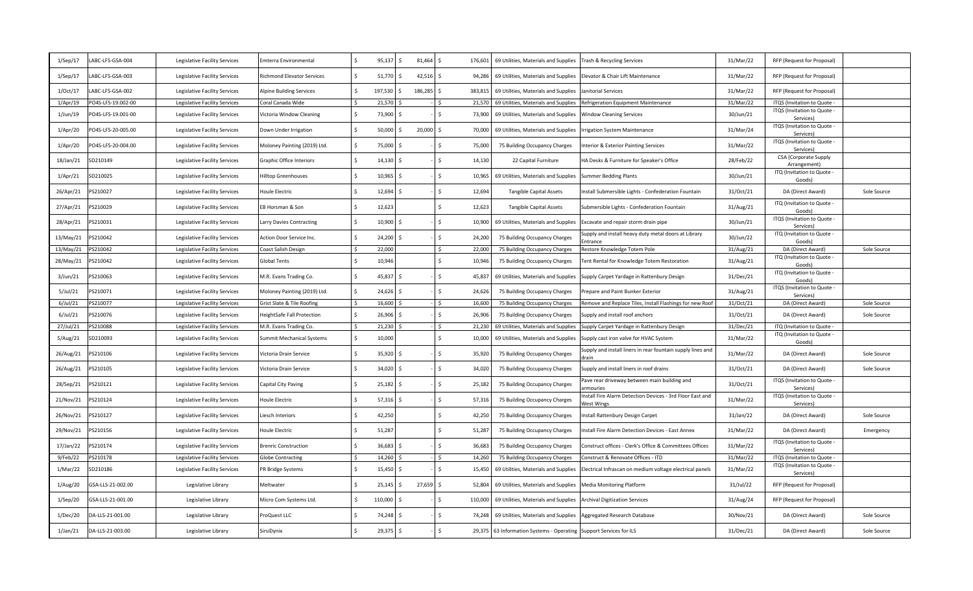| $1/$ Sep $/17$ | ABC-LFS-GSA-004    | Legislative Facility Services | mterra Environmental              | 95,137      | Ŝ.  | 81,464  | 176,601                | 69 Utilities, Materials and Supplies                               | Trash & Recycling Services                                                    | 31/Mar/22 | RFP (Request for Proposal)                     |             |
|----------------|--------------------|-------------------------------|-----------------------------------|-------------|-----|---------|------------------------|--------------------------------------------------------------------|-------------------------------------------------------------------------------|-----------|------------------------------------------------|-------------|
| $1/$ Sep $/17$ | ABC-LFS-GSA-003    | Legislative Facility Services | <b>Richmond Elevator Services</b> | 51,770      | S   | 42,516  | 94,286                 | 69 Utilities, Materials and Supplies                               | Elevator & Chair Lift Maintenance                                             | 31/Mar/22 | RFP (Request for Proposal)                     |             |
| 1/Oct/17       | ABC-LFS-GSA-002    | Legislative Facility Services | Alpine Building Services          | 197,530     | -Ś  | 186,285 | 383,815                | 69 Utilities, Materials and Supplies                               | Janitorial Services                                                           | 31/Mar/22 | RFP (Request for Proposal)                     |             |
| 1/Apr/19       | PO4S-LFS-19.002-00 | Legislative Facility Services | Coral Canada Wide                 | 21,570      |     |         | 21,570                 | 69 Utilities, Materials and Supplies                               | Refrigeration Equipment Maintenance                                           | 31/Mar/22 | ITQS (Invitation to Quote -                    |             |
| $1$ /Jun/19    | PO4S-LFS-19.001-00 | Legislative Facility Services | Victoria Window Cleaning          | 73,900      | Ŝ.  |         | ς.<br>73,900           | 69 Utilities, Materials and Supplies                               | Window Cleaning Services                                                      | 30/Jun/21 | ITQS (Invitation to Quote -<br>Services)       |             |
| 1/Apr/20       | PO4S-LFS-20-005.00 | Legislative Facility Services | Down Under Irrigation             | 50,000      | Ŝ.  | 20,000  | S.<br>70,000           | 69 Utilities, Materials and Supplies                               | Irrigation System Maintenance                                                 | 31/Mar/24 | ITQS (Invitation to Quote -<br>Services)       |             |
| 1/Apr/20       | PO4S-LFS-20-004.00 | Legislative Facility Services | Moloney Painting (2019) Ltd.      | 75,000 \$   |     |         | $\mathsf{S}$<br>75,000 | 75 Building Occupancy Charges                                      | nterior & Exterior Painting Services                                          | 31/Mar/22 | ITQS (Invitation to Quote -<br>Services)       |             |
| 18/Jan/21      | SD210149           | Legislative Facility Services | Graphic Office Interiors          | $14,130$ \$ |     |         | \$.<br>14,130          | 22 Capital Furniture                                               | HA Desks & Furniture for Speaker's Office                                     | 28/Feb/22 | <b>CSA</b> (Corporate Supply<br>Arrangement)   |             |
| 1/Apr/21       | SD210025           | Legislative Facility Services | Hilltop Greenhouses               | 10,965      | Ŝ   |         | Ś.<br>10,965           | 69 Utilities, Materials and Supplies                               | <b>Summer Bedding Plants</b>                                                  | 30/Jun/21 | ITQ (Invitation to Quote -<br>Goods)           |             |
| 26/Apr/21      | PS210027           | Legislative Facility Services | Houle Electric                    | $12,694$ \$ |     |         | Ś.<br>12,694           | <b>Tangible Capital Assets</b>                                     | nstall Submersible Lights - Confederation Fountain                            | 31/Oct/21 | DA (Direct Award)                              | Sole Source |
| 27/Apr/21      | PS210029           | Legislative Facility Services | EB Horsman & Son                  | 12,623      |     |         | \$<br>12,623           | Tangible Capital Assets                                            | Submersible Lights - Confederation Fountain                                   | 31/Aug/21 | ITQ (Invitation to Quote -<br>Goods)           |             |
| 28/Apr/21      | PS210031           | Legislative Facility Services | Larry Davies Contracting          | 10,900      | ς.  |         | $\mathsf{S}$<br>10,900 | 69 Utilities, Materials and Supplies                               | Excavate and repair storm drain pipe                                          | 30/Jun/21 | ITQS (Invitation to Quote -<br>Services)       |             |
| 13/May/21      | PS210042           | Legislative Facility Services | Action Door Service Inc.          | 24,200      |     |         | Ś.<br>24,200           | 75 Building Occupancy Charges                                      | Supply and install heavy duty metal doors at Library                          | 30/Jun/22 | ITQ (Invitation to Quote -<br>Goods            |             |
| 13/May/21      | PS210042           | Legislative Facility Services | Coast Salish Design               | 22,000      |     |         | 22,000                 | 75 Building Occupancy Charges                                      | Restore Knowledge Totem Pole                                                  | 31/Aug/21 | DA (Direct Award)                              | Sole Source |
| 28/May/21      | S210042            | Legislative Facility Services | Global Tents                      | 10,946      |     |         | Ś.<br>10,946           | 75 Building Occupancy Charges                                      | Tent Rental for Knowledge Totem Restoration                                   | 31/Aug/21 | ITQ (Invitation to Quote -<br>Goods)           |             |
| 3/Jun/21       | PS210063           | Legislative Facility Services | M.R. Evans Trading Co.            | 45,837      | - Ś |         | Ś.<br>45,837           | 69 Utilities, Materials and Supplies                               | Supply Carpet Yardage in Rattenbury Design                                    | 31/Dec/21 | ITQ (Invitation to Quote -<br>Goods)           |             |
| $5$ /Jul/21    | PS210071           | Legislative Facility Services | Moloney Painting (2019) Ltd.      | 24,626 \$   |     |         | \$.<br>24,626          | 75 Building Occupancy Charges                                      | Prepare and Paint Bunker Exterior                                             | 31/Aug/21 | ITQS (Invitation to Quote<br>Services)         |             |
| $6$ /Jul/21    | PS210077           | Legislative Facility Services | Grist Slate & Tile Roofing        | 16,600      |     |         | 16,600                 | 75 Building Occupancy Charges                                      | Remove and Replace Tiles, Install Flashings for new Roof                      | 31/Oct/21 | DA (Direct Award)                              | Sole Source |
| 6/Jul/21       | PS210076           | Legislative Facility Services | leightSafe Fall Protection        | 26,906 \$   |     |         | \$<br>26,906           | 75 Building Occupancy Charges                                      | Supply and install roof anchors                                               | 31/Oct/21 | DA (Direct Award)                              | Sole Source |
| 27/Jul/21      | PS210088           | Legislative Facility Services | M.R. Evans Trading Co.            | 21,230      |     |         | 21,230                 | 69 Utilities, Materials and Supplies                               | Supply Carpet Yardage in Rattenbury Design                                    | 31/Dec/21 | ITQ (Invitation to Quote                       |             |
| 5/Aug/21       | SD210093           | Legislative Facility Services | Summit Mechanical Systems         | 10,000      |     |         | Ś.<br>10,000           | 69 Utilities, Materials and Supplies                               | Supply cast iron valve for HVAC System                                        | 31/Mar/22 | ITQ (Invitation to Quote -<br>Goods)           |             |
| 26/Aug/21      | PS210106           | Legislative Facility Services | Victoria Drain Service            | 35,920      | - Ś |         | Ś.<br>35,920           | 75 Building Occupancy Charges                                      | Supply and install liners in rear fountain supply lines and<br>drain          | 31/Mar/22 | DA (Direct Award)                              | Sole Source |
| 26/Aug/21      | PS210105           | Legislative Facility Services | Victoria Drain Service            | 34,020      | S   |         | Ś.<br>34,020           | 75 Building Occupancy Charges                                      | Supply and install liners in roof drains                                      | 31/Oct/21 | DA (Direct Award)                              | Sole Source |
| 28/Sep/21      | PS210121           | Legislative Facility Services | Capital City Paving               | $25,182$ \$ |     |         | \$.<br>25,182          | 75 Building Occupancy Charges                                      | ave rear driveway between main building and<br><b>irmouries</b>               | 31/Oct/21 | ITQS (Invitation to Quote -<br><b>Services</b> |             |
| 21/Nov/21      | PS210124           | Legislative Facility Services | Houle Electric                    | $57,316$ \$ |     |         | \$<br>57,316           | 75 Building Occupancy Charges                                      | nstall Fire Alarm Detection Devices - 3rd Floor East and<br><b>Nest Wings</b> | 31/Mar/22 | ITQS (Invitation to Quote -<br>Services)       |             |
| 26/Nov/21      | PS210127           | Legislative Facility Services | Liesch Interiors                  | 42,250      |     |         | Ś.<br>42,250           | 75 Building Occupancy Charges                                      | nstall Rattenbury Design Carpet                                               | 31/Jan/22 | DA (Direct Award)                              | Sole Source |
| 29/Nov/21      | PS210156           | Legislative Facility Services | Houle Electric                    | 51,287      |     |         | Ś.<br>51,287           | 75 Building Occupancy Charges                                      | nstall Fire Alarm Detection Devices - East Annex                              | 31/Mar/22 | DA (Direct Award)                              | Emergency   |
| 17/Jan/22      | PS210174           | Legislative Facility Services | <b>Brenric Construction</b>       | 36,683      | Ś   |         | Ś.<br>36,683           | 75 Building Occupancy Charges                                      | Construct offices - Clerk's Office & Committees Offices                       | 31/Mar/22 | ITQS (Invitation to Quote -<br>Services)       |             |
| 9/Feb/22       | PS210178           | Legislative Facility Services | <b>Globe Contracting</b>          | 14,260      |     |         | 14,260                 | 75 Building Occupancy Charges                                      | Construct & Renovate Offices - ITD                                            | 31/Mar/22 | ITQS (Invitation to Quote -                    |             |
| 1/Mar/22       | SD210186           | Legislative Facility Services | PR Bridge Systems                 | 15,450      | S   |         | 15,450                 | 69 Utilities, Materials and Supplies                               | Electrical Infrascan on medium voltage electrical panels                      | 31/Mar/22 | ITQS (Invitation to Quote -<br>Services)       |             |
| 1/Aug/20       | GSA-LLS-21-002.00  | Legislative Library           | Meltwater                         | 25,145      | Ś   | 27,659  | S.<br>52,804           | 69 Utilities, Materials and Supplies                               | <b>Media Monitoring Platform</b>                                              | 31/Jul/22 | RFP (Request for Proposal)                     |             |
| 1/Sep/20       | GSA-LLS-21-001.00  | Legislative Library           | Micro Com Systems Ltd.            | 110,000     | Ŝ.  |         | Ś.<br>110,000          | 69 Utilities, Materials and Supplies                               | <b>Archival Digitization Services</b>                                         | 31/Aug/24 | RFP (Request for Proposal)                     |             |
| 1/Dec/20       | DA-LLS-21-001.00   | Legislative Library           | ProQuest LLC                      | 74,248 \$   |     |         | Ś.<br>74,248           | 69 Utilities, Materials and Supplies                               | Aggregated Research Database                                                  | 30/Nov/21 | DA (Direct Award)                              | Sole Source |
| $1/$ Jan $/21$ | DA-LLS-21-003.00   | Legislative Library           | SirsiDynix                        | 29,375      | Ś   |         |                        | 29,375 63 Information Systems - Operating Support Services for ILS |                                                                               | 31/Dec/21 | DA (Direct Award)                              | Sole Source |